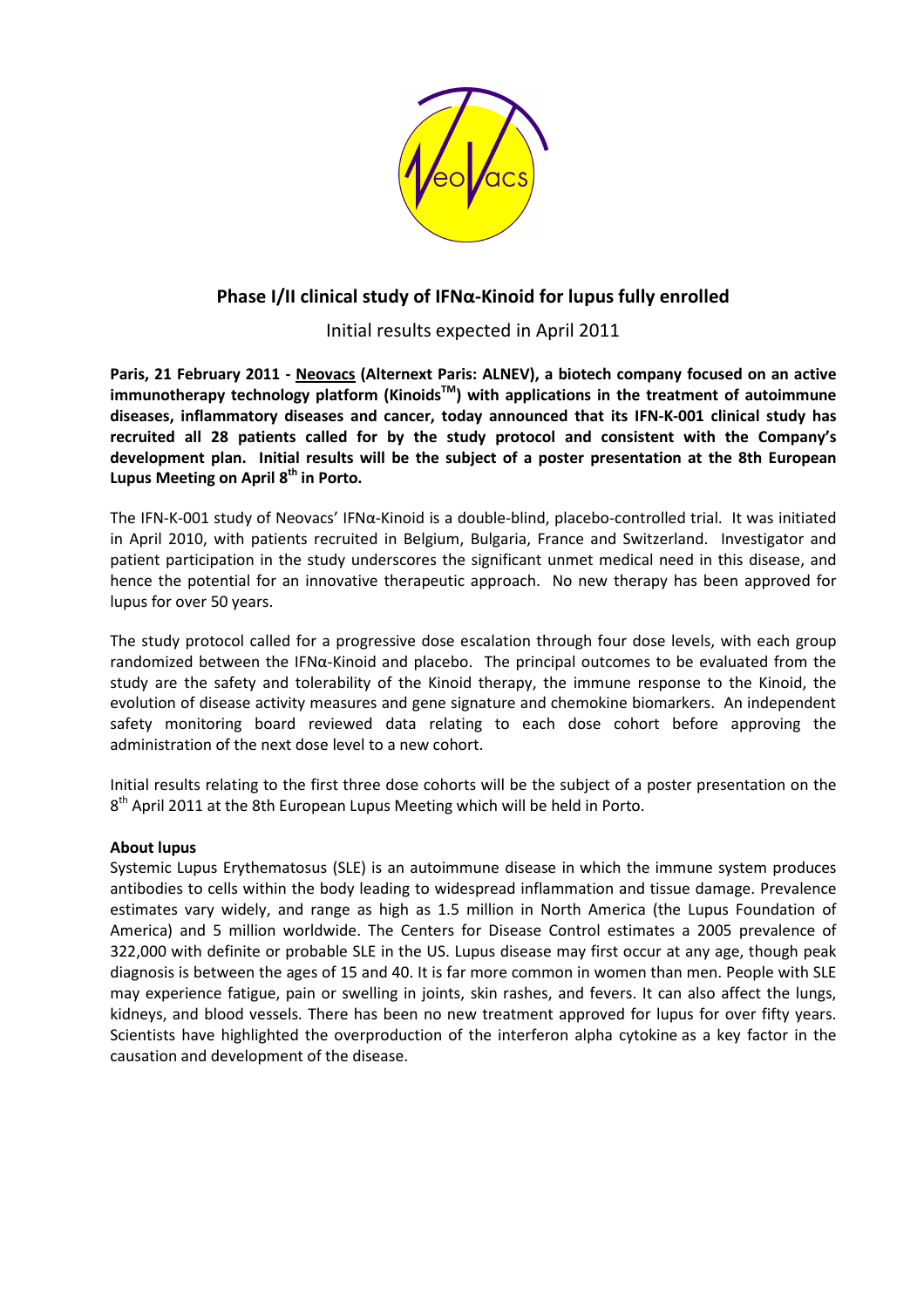

## Phase I/II clinical study of IFNα-Kinoid for lupus fully enrolled

Initial results expected in April 2011

Paris, 21 February 2011 - Neovacs (Alternext Paris: ALNEV), a biotech company focused on an active immunotherapy technology platform (Kinoids<sup>TM</sup>) with applications in the treatment of autoimmune diseases, inflammatory diseases and cancer, today announced that its IFN-K-001 clinical study has recruited all 28 patients called for by the study protocol and consistent with the Company's development plan. Initial results will be the subject of a poster presentation at the 8th European Lupus Meeting on April 8<sup>th</sup> in Porto.

The IFN-K-001 study of Neovacs' IFNα-Kinoid is a double-blind, placebo-controlled trial. It was initiated in April 2010, with patients recruited in Belgium, Bulgaria, France and Switzerland. Investigator and patient participation in the study underscores the significant unmet medical need in this disease, and hence the potential for an innovative therapeutic approach. No new therapy has been approved for lupus for over 50 years.

The study protocol called for a progressive dose escalation through four dose levels, with each group randomized between the IFNα-Kinoid and placebo. The principal outcomes to be evaluated from the study are the safety and tolerability of the Kinoid therapy, the immune response to the Kinoid, the evolution of disease activity measures and gene signature and chemokine biomarkers. An independent safety monitoring board reviewed data relating to each dose cohort before approving the administration of the next dose level to a new cohort.

Initial results relating to the first three dose cohorts will be the subject of a poster presentation on the 8<sup>th</sup> April 2011 at the 8th European Lupus Meeting which will be held in Porto.

## About lupus

Systemic Lupus Erythematosus (SLE) is an autoimmune disease in which the immune system produces antibodies to cells within the body leading to widespread inflammation and tissue damage. Prevalence estimates vary widely, and range as high as 1.5 million in North America (the Lupus Foundation of America) and 5 million worldwide. The Centers for Disease Control estimates a 2005 prevalence of 322,000 with definite or probable SLE in the US. Lupus disease may first occur at any age, though peak diagnosis is between the ages of 15 and 40. It is far more common in women than men. People with SLE may experience fatigue, pain or swelling in joints, skin rashes, and fevers. It can also affect the lungs, kidneys, and blood vessels. There has been no new treatment approved for lupus for over fifty years. Scientists have highlighted the overproduction of the interferon alpha cytokine as a key factor in the causation and development of the disease.